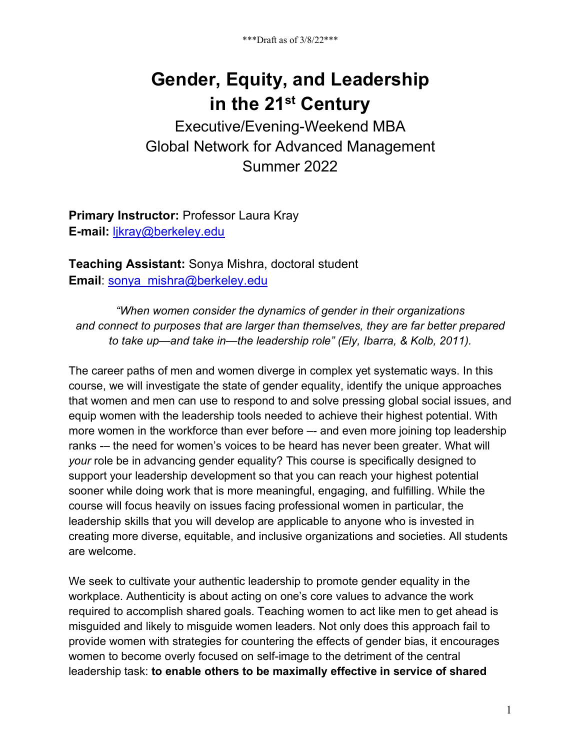# **Gender, Equity, and Leadership in the 21st Century**

Executive/Evening-Weekend MBA Global Network for Advanced Management Summer 2022

**Primary Instructor:** Professor Laura Kray **E-mail:** ljkray@berkeley.edu

**Teaching Assistant:** Sonya Mishra, doctoral student **Email:** sonya\_mishra@berkeley.edu

*"When women consider the dynamics of gender in their organizations and connect to purposes that are larger than themselves, they are far better prepared to take up—and take in—the leadership role" (Ely, Ibarra, & Kolb, 2011).*

The career paths of men and women diverge in complex yet systematic ways. In this course, we will investigate the state of gender equality, identify the unique approaches that women and men can use to respond to and solve pressing global social issues, and equip women with the leadership tools needed to achieve their highest potential. With more women in the workforce than ever before – and even more joining top leadership ranks -– the need for women's voices to be heard has never been greater. What will *your* role be in advancing gender equality? This course is specifically designed to support your leadership development so that you can reach your highest potential sooner while doing work that is more meaningful, engaging, and fulfilling. While the course will focus heavily on issues facing professional women in particular, the leadership skills that you will develop are applicable to anyone who is invested in creating more diverse, equitable, and inclusive organizations and societies. All students are welcome.

We seek to cultivate your authentic leadership to promote gender equality in the workplace. Authenticity is about acting on one's core values to advance the work required to accomplish shared goals. Teaching women to act like men to get ahead is misguided and likely to misguide women leaders. Not only does this approach fail to provide women with strategies for countering the effects of gender bias, it encourages women to become overly focused on self-image to the detriment of the central leadership task: **to enable others to be maximally effective in service of shared**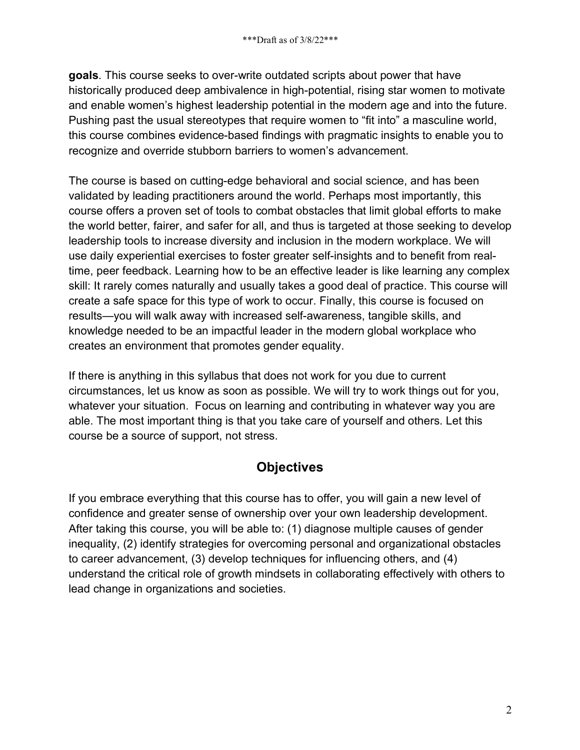**goals**. This course seeks to over-write outdated scripts about power that have historically produced deep ambivalence in high-potential, rising star women to motivate and enable women's highest leadership potential in the modern age and into the future. Pushing past the usual stereotypes that require women to "fit into" a masculine world, this course combines evidence-based findings with pragmatic insights to enable you to recognize and override stubborn barriers to women's advancement.

The course is based on cutting-edge behavioral and social science, and has been validated by leading practitioners around the world. Perhaps most importantly, this course offers a proven set of tools to combat obstacles that limit global efforts to make the world better, fairer, and safer for all, and thus is targeted at those seeking to develop leadership tools to increase diversity and inclusion in the modern workplace. We will use daily experiential exercises to foster greater self-insights and to benefit from realtime, peer feedback. Learning how to be an effective leader is like learning any complex skill: It rarely comes naturally and usually takes a good deal of practice. This course will create a safe space for this type of work to occur. Finally, this course is focused on results—you will walk away with increased self-awareness, tangible skills, and knowledge needed to be an impactful leader in the modern global workplace who creates an environment that promotes gender equality.

If there is anything in this syllabus that does not work for you due to current circumstances, let us know as soon as possible. We will try to work things out for you, whatever your situation. Focus on learning and contributing in whatever way you are able. The most important thing is that you take care of yourself and others. Let this course be a source of support, not stress.

# **Objectives**

If you embrace everything that this course has to offer, you will gain a new level of confidence and greater sense of ownership over your own leadership development. After taking this course, you will be able to: (1) diagnose multiple causes of gender inequality, (2) identify strategies for overcoming personal and organizational obstacles to career advancement, (3) develop techniques for influencing others, and (4) understand the critical role of growth mindsets in collaborating effectively with others to lead change in organizations and societies.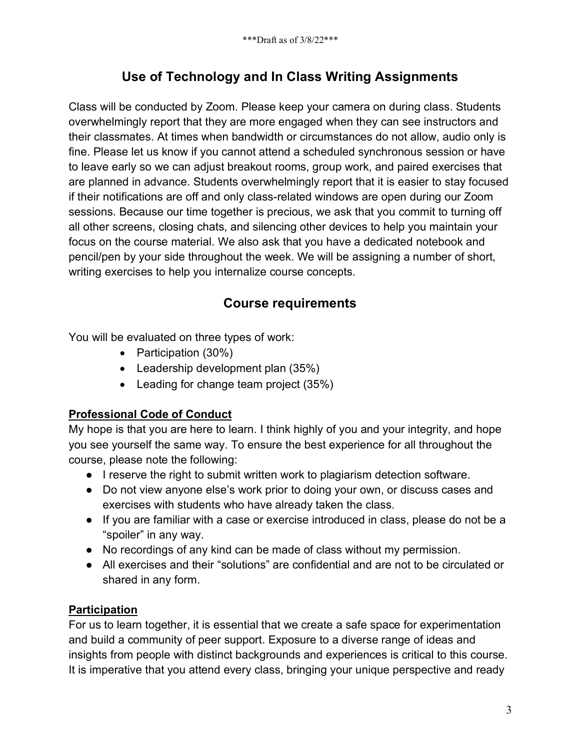# **Use of Technology and In Class Writing Assignments**

Class will be conducted by Zoom. Please keep your camera on during class. Students overwhelmingly report that they are more engaged when they can see instructors and their classmates. At times when bandwidth or circumstances do not allow, audio only is fine. Please let us know if you cannot attend a scheduled synchronous session or have to leave early so we can adjust breakout rooms, group work, and paired exercises that are planned in advance. Students overwhelmingly report that it is easier to stay focused if their notifications are off and only class-related windows are open during our Zoom sessions. Because our time together is precious, we ask that you commit to turning off all other screens, closing chats, and silencing other devices to help you maintain your focus on the course material. We also ask that you have a dedicated notebook and pencil/pen by your side throughout the week. We will be assigning a number of short, writing exercises to help you internalize course concepts.

# **Course requirements**

You will be evaluated on three types of work:

- Participation (30%)
- Leadership development plan (35%)
- Leading for change team project (35%)

# **Professional Code of Conduct**

My hope is that you are here to learn. I think highly of you and your integrity, and hope you see yourself the same way. To ensure the best experience for all throughout the course, please note the following:

- I reserve the right to submit written work to plagiarism detection software.
- Do not view anyone else's work prior to doing your own, or discuss cases and exercises with students who have already taken the class.
- If you are familiar with a case or exercise introduced in class, please do not be a "spoiler" in any way.
- No recordings of any kind can be made of class without my permission.
- All exercises and their "solutions" are confidential and are not to be circulated or shared in any form.

# **Participation**

For us to learn together, it is essential that we create a safe space for experimentation and build a community of peer support. Exposure to a diverse range of ideas and insights from people with distinct backgrounds and experiences is critical to this course. It is imperative that you attend every class, bringing your unique perspective and ready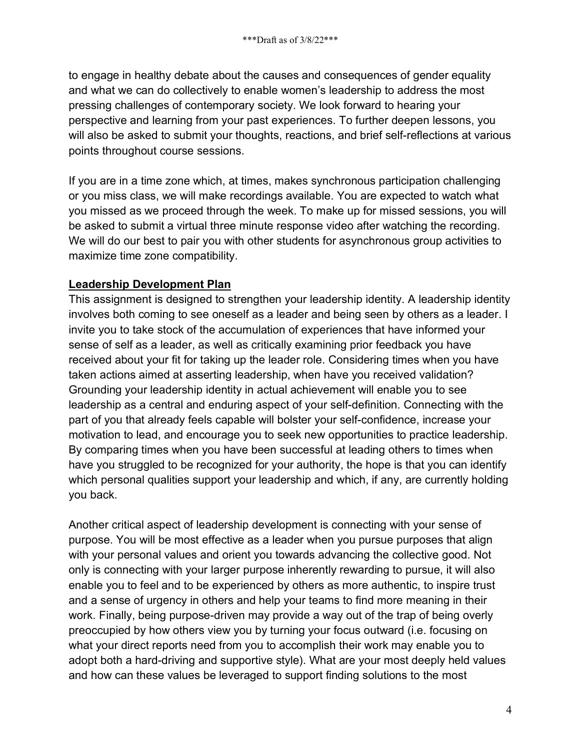to engage in healthy debate about the causes and consequences of gender equality and what we can do collectively to enable women's leadership to address the most pressing challenges of contemporary society. We look forward to hearing your perspective and learning from your past experiences. To further deepen lessons, you will also be asked to submit your thoughts, reactions, and brief self-reflections at various points throughout course sessions.

If you are in a time zone which, at times, makes synchronous participation challenging or you miss class, we will make recordings available. You are expected to watch what you missed as we proceed through the week. To make up for missed sessions, you will be asked to submit a virtual three minute response video after watching the recording. We will do our best to pair you with other students for asynchronous group activities to maximize time zone compatibility.

### **Leadership Development Plan**

This assignment is designed to strengthen your leadership identity. A leadership identity involves both coming to see oneself as a leader and being seen by others as a leader. I invite you to take stock of the accumulation of experiences that have informed your sense of self as a leader, as well as critically examining prior feedback you have received about your fit for taking up the leader role. Considering times when you have taken actions aimed at asserting leadership, when have you received validation? Grounding your leadership identity in actual achievement will enable you to see leadership as a central and enduring aspect of your self-definition. Connecting with the part of you that already feels capable will bolster your self-confidence, increase your motivation to lead, and encourage you to seek new opportunities to practice leadership. By comparing times when you have been successful at leading others to times when have you struggled to be recognized for your authority, the hope is that you can identify which personal qualities support your leadership and which, if any, are currently holding you back.

Another critical aspect of leadership development is connecting with your sense of purpose. You will be most effective as a leader when you pursue purposes that align with your personal values and orient you towards advancing the collective good. Not only is connecting with your larger purpose inherently rewarding to pursue, it will also enable you to feel and to be experienced by others as more authentic, to inspire trust and a sense of urgency in others and help your teams to find more meaning in their work. Finally, being purpose-driven may provide a way out of the trap of being overly preoccupied by how others view you by turning your focus outward (i.e. focusing on what your direct reports need from you to accomplish their work may enable you to adopt both a hard-driving and supportive style). What are your most deeply held values and how can these values be leveraged to support finding solutions to the most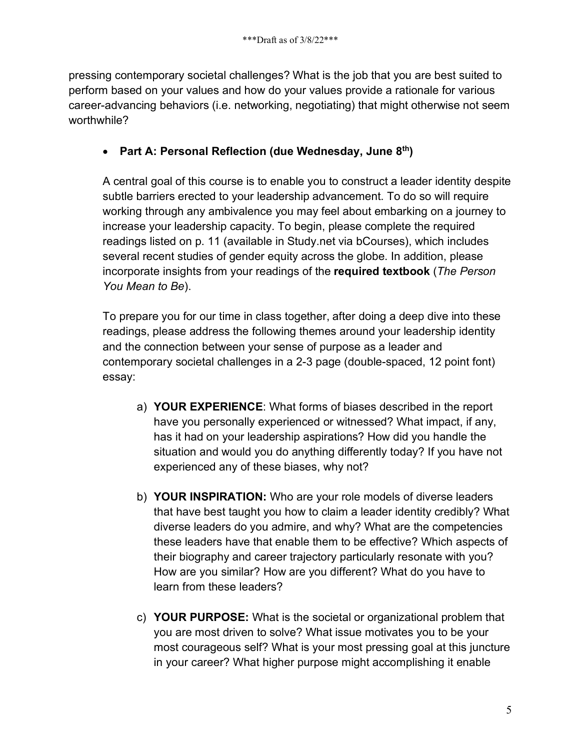pressing contemporary societal challenges? What is the job that you are best suited to perform based on your values and how do your values provide a rationale for various career-advancing behaviors (i.e. networking, negotiating) that might otherwise not seem worthwhile?

## • **Part A: Personal Reflection (due Wednesday, June 8th)**

A central goal of this course is to enable you to construct a leader identity despite subtle barriers erected to your leadership advancement. To do so will require working through any ambivalence you may feel about embarking on a journey to increase your leadership capacity. To begin, please complete the required readings listed on p. 11 (available in Study.net via bCourses), which includes several recent studies of gender equity across the globe. In addition, please incorporate insights from your readings of the **required textbook** (*The Person You Mean to Be*).

To prepare you for our time in class together, after doing a deep dive into these readings, please address the following themes around your leadership identity and the connection between your sense of purpose as a leader and contemporary societal challenges in a 2-3 page (double-spaced, 12 point font) essay:

- a) **YOUR EXPERIENCE**: What forms of biases described in the report have you personally experienced or witnessed? What impact, if any, has it had on your leadership aspirations? How did you handle the situation and would you do anything differently today? If you have not experienced any of these biases, why not?
- b) **YOUR INSPIRATION:** Who are your role models of diverse leaders that have best taught you how to claim a leader identity credibly? What diverse leaders do you admire, and why? What are the competencies these leaders have that enable them to be effective? Which aspects of their biography and career trajectory particularly resonate with you? How are you similar? How are you different? What do you have to learn from these leaders?
- c) **YOUR PURPOSE:** What is the societal or organizational problem that you are most driven to solve? What issue motivates you to be your most courageous self? What is your most pressing goal at this juncture in your career? What higher purpose might accomplishing it enable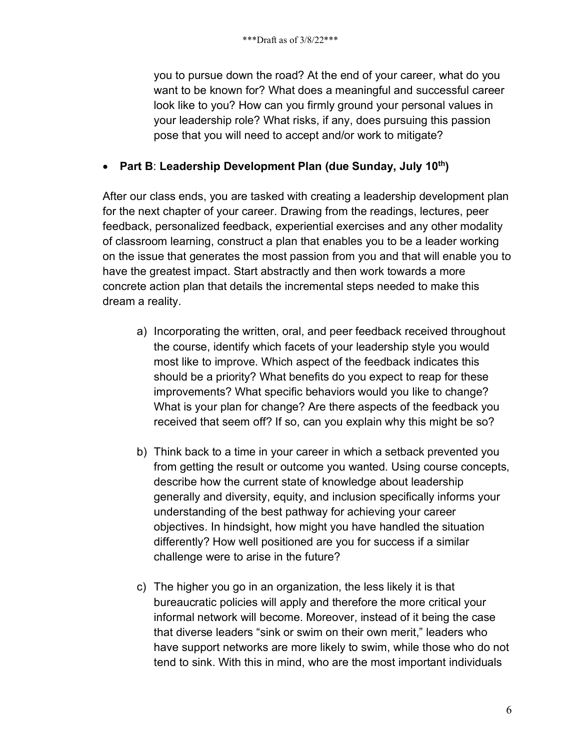you to pursue down the road? At the end of your career, what do you want to be known for? What does a meaningful and successful career look like to you? How can you firmly ground your personal values in your leadership role? What risks, if any, does pursuing this passion pose that you will need to accept and/or work to mitigate?

# • **Part B**: **Leadership Development Plan (due Sunday, July 10th)**

After our class ends, you are tasked with creating a leadership development plan for the next chapter of your career. Drawing from the readings, lectures, peer feedback, personalized feedback, experiential exercises and any other modality of classroom learning, construct a plan that enables you to be a leader working on the issue that generates the most passion from you and that will enable you to have the greatest impact. Start abstractly and then work towards a more concrete action plan that details the incremental steps needed to make this dream a reality.

- a) Incorporating the written, oral, and peer feedback received throughout the course, identify which facets of your leadership style you would most like to improve. Which aspect of the feedback indicates this should be a priority? What benefits do you expect to reap for these improvements? What specific behaviors would you like to change? What is your plan for change? Are there aspects of the feedback you received that seem off? If so, can you explain why this might be so?
- b) Think back to a time in your career in which a setback prevented you from getting the result or outcome you wanted. Using course concepts, describe how the current state of knowledge about leadership generally and diversity, equity, and inclusion specifically informs your understanding of the best pathway for achieving your career objectives. In hindsight, how might you have handled the situation differently? How well positioned are you for success if a similar challenge were to arise in the future?
- c) The higher you go in an organization, the less likely it is that bureaucratic policies will apply and therefore the more critical your informal network will become. Moreover, instead of it being the case that diverse leaders "sink or swim on their own merit," leaders who have support networks are more likely to swim, while those who do not tend to sink. With this in mind, who are the most important individuals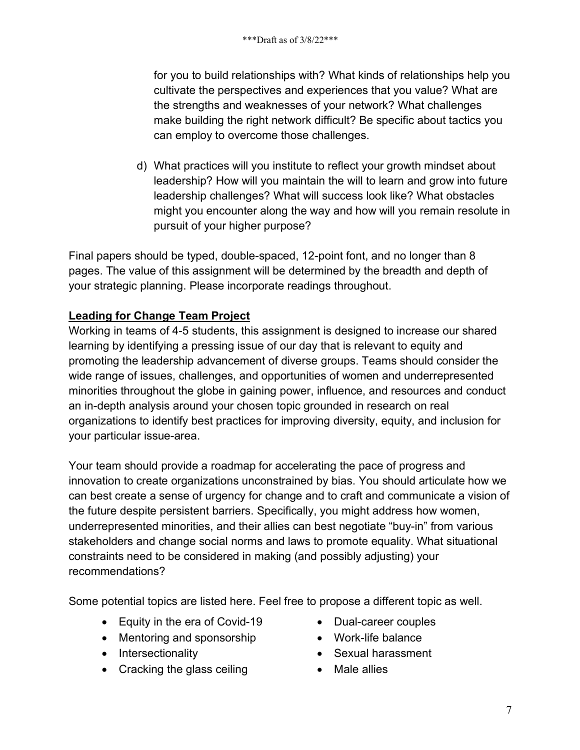for you to build relationships with? What kinds of relationships help you cultivate the perspectives and experiences that you value? What are the strengths and weaknesses of your network? What challenges make building the right network difficult? Be specific about tactics you can employ to overcome those challenges.

d) What practices will you institute to reflect your growth mindset about leadership? How will you maintain the will to learn and grow into future leadership challenges? What will success look like? What obstacles might you encounter along the way and how will you remain resolute in pursuit of your higher purpose?

Final papers should be typed, double-spaced, 12-point font, and no longer than 8 pages. The value of this assignment will be determined by the breadth and depth of your strategic planning. Please incorporate readings throughout.

# **Leading for Change Team Project**

Working in teams of 4-5 students, this assignment is designed to increase our shared learning by identifying a pressing issue of our day that is relevant to equity and promoting the leadership advancement of diverse groups. Teams should consider the wide range of issues, challenges, and opportunities of women and underrepresented minorities throughout the globe in gaining power, influence, and resources and conduct an in-depth analysis around your chosen topic grounded in research on real organizations to identify best practices for improving diversity, equity, and inclusion for your particular issue-area.

Your team should provide a roadmap for accelerating the pace of progress and innovation to create organizations unconstrained by bias. You should articulate how we can best create a sense of urgency for change and to craft and communicate a vision of the future despite persistent barriers. Specifically, you might address how women, underrepresented minorities, and their allies can best negotiate "buy-in" from various stakeholders and change social norms and laws to promote equality. What situational constraints need to be considered in making (and possibly adjusting) your recommendations?

Some potential topics are listed here. Feel free to propose a different topic as well.

- Equity in the era of Covid-19
- Mentoring and sponsorship
- Intersectionality
- Cracking the glass ceiling
- Dual-career couples
- Work-life balance
- Sexual harassment
- Male allies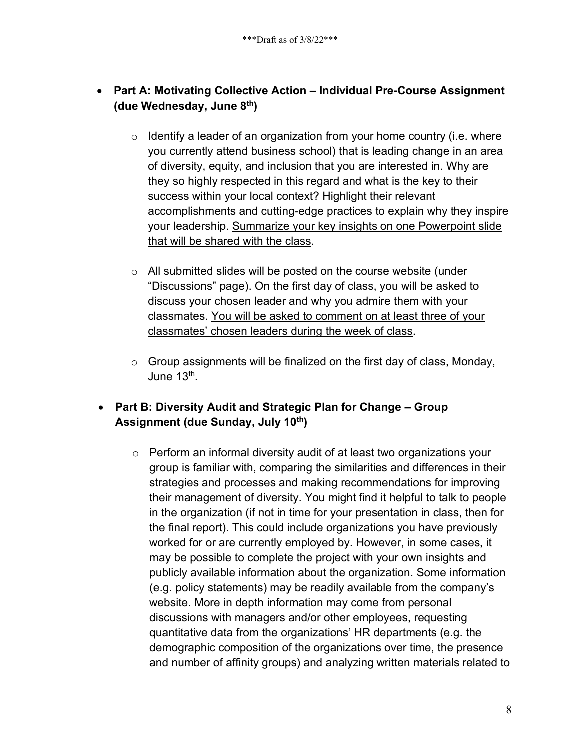# • **Part A: Motivating Collective Action – Individual Pre-Course Assignment (due Wednesday, June 8th)**

- $\circ$  Identify a leader of an organization from your home country (i.e. where you currently attend business school) that is leading change in an area of diversity, equity, and inclusion that you are interested in. Why are they so highly respected in this regard and what is the key to their success within your local context? Highlight their relevant accomplishments and cutting-edge practices to explain why they inspire your leadership. Summarize your key insights on one Powerpoint slide that will be shared with the class.
- o All submitted slides will be posted on the course website (under "Discussions" page). On the first day of class, you will be asked to discuss your chosen leader and why you admire them with your classmates. You will be asked to comment on at least three of your classmates' chosen leaders during the week of class.
- $\circ$  Group assignments will be finalized on the first day of class, Monday, June  $13<sup>th</sup>$ .

# • **Part B: Diversity Audit and Strategic Plan for Change – Group Assignment (due Sunday, July 10th)**

o Perform an informal diversity audit of at least two organizations your group is familiar with, comparing the similarities and differences in their strategies and processes and making recommendations for improving their management of diversity. You might find it helpful to talk to people in the organization (if not in time for your presentation in class, then for the final report). This could include organizations you have previously worked for or are currently employed by. However, in some cases, it may be possible to complete the project with your own insights and publicly available information about the organization. Some information (e.g. policy statements) may be readily available from the company's website. More in depth information may come from personal discussions with managers and/or other employees, requesting quantitative data from the organizations' HR departments (e.g. the demographic composition of the organizations over time, the presence and number of affinity groups) and analyzing written materials related to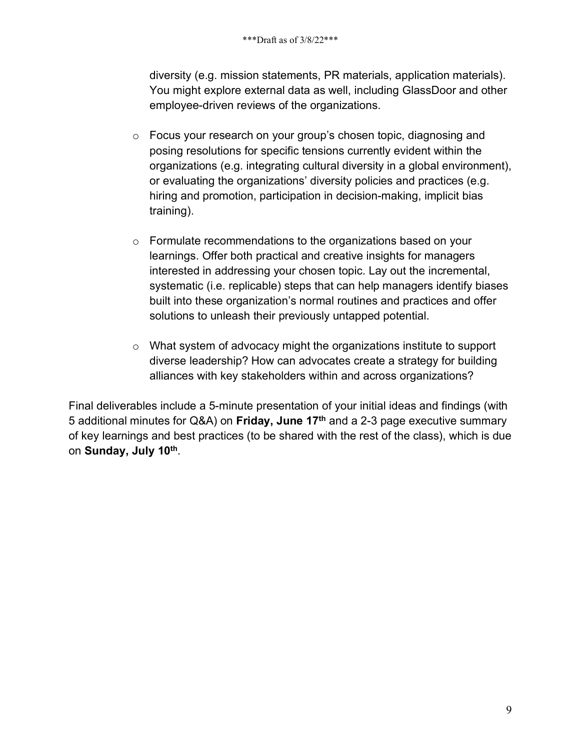diversity (e.g. mission statements, PR materials, application materials). You might explore external data as well, including GlassDoor and other employee-driven reviews of the organizations.

- o Focus your research on your group's chosen topic, diagnosing and posing resolutions for specific tensions currently evident within the organizations (e.g. integrating cultural diversity in a global environment), or evaluating the organizations' diversity policies and practices (e.g. hiring and promotion, participation in decision-making, implicit bias training).
- o Formulate recommendations to the organizations based on your learnings. Offer both practical and creative insights for managers interested in addressing your chosen topic. Lay out the incremental, systematic (i.e. replicable) steps that can help managers identify biases built into these organization's normal routines and practices and offer solutions to unleash their previously untapped potential.
- o What system of advocacy might the organizations institute to support diverse leadership? How can advocates create a strategy for building alliances with key stakeholders within and across organizations?

Final deliverables include a 5-minute presentation of your initial ideas and findings (with 5 additional minutes for Q&A) on **Friday, June 17th** and a 2-3 page executive summary of key learnings and best practices (to be shared with the rest of the class), which is due on **Sunday, July 10th**.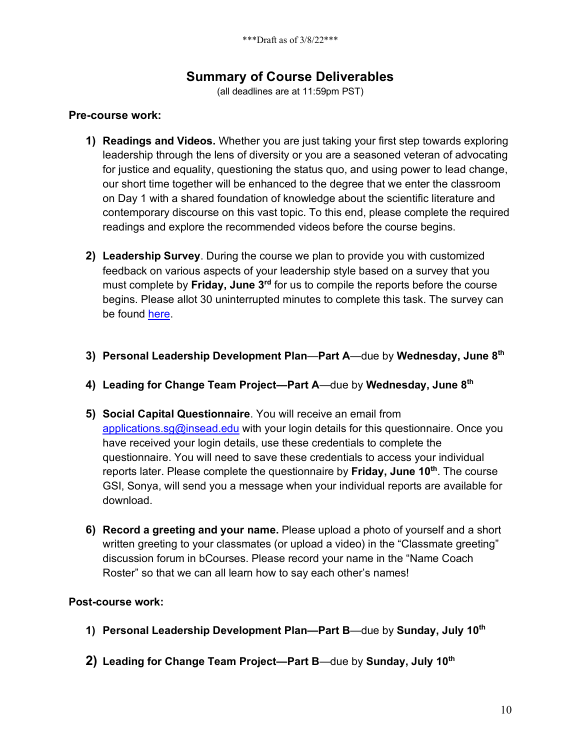# **Summary of Course Deliverables**

(all deadlines are at 11:59pm PST)

#### **Pre-course work:**

- **1) Readings and Videos.** Whether you are just taking your first step towards exploring leadership through the lens of diversity or you are a seasoned veteran of advocating for justice and equality, questioning the status quo, and using power to lead change, our short time together will be enhanced to the degree that we enter the classroom on Day 1 with a shared foundation of knowledge about the scientific literature and contemporary discourse on this vast topic. To this end, please complete the required readings and explore the recommended videos before the course begins.
- **2) Leadership Survey**. During the course we plan to provide you with customized feedback on various aspects of your leadership style based on a survey that you must complete by **Friday, June 3rd** for us to compile the reports before the course begins. Please allot 30 uninterrupted minutes to complete this task. The survey can be found here.
- **3) Personal Leadership Development Plan**—**Part A**—due by **Wednesday, June 8th**
- **4) Leading for Change Team Project—Part A**—due by **Wednesday, June 8th**
- **5) Social Capital Questionnaire**. You will receive an email from applications.sg@insead.edu with your login details for this questionnaire. Once you have received your login details, use these credentials to complete the questionnaire. You will need to save these credentials to access your individual reports later. Please complete the questionnaire by **Friday, June 10th**. The course GSI, Sonya, will send you a message when your individual reports are available for download.
- **6) Record a greeting and your name.** Please upload a photo of yourself and a short written greeting to your classmates (or upload a video) in the "Classmate greeting" discussion forum in bCourses. Please record your name in the "Name Coach Roster" so that we can all learn how to say each other's names!

#### **Post-course work:**

- **1) Personal Leadership Development Plan—Part B**—due by **Sunday, July 10th**
- **2) Leading for Change Team Project—Part B**—due by **Sunday, July 10th**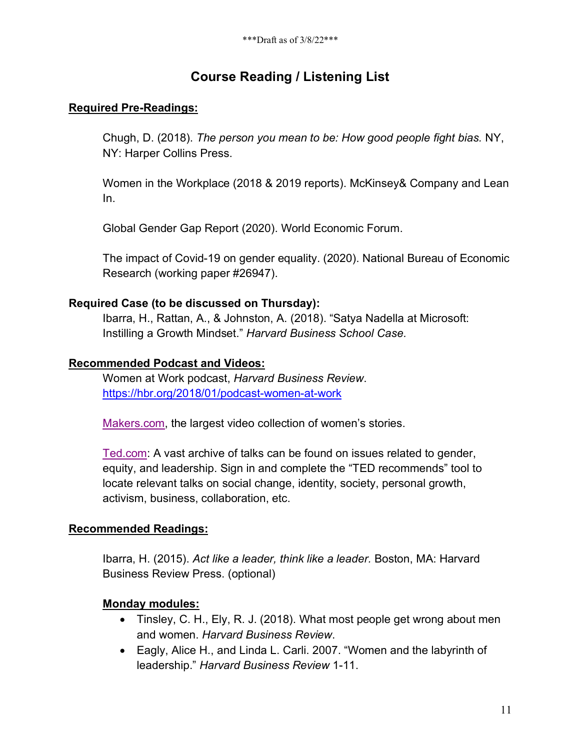# **Course Reading / Listening List**

### **Required Pre-Readings:**

Chugh, D. (2018). *The person you mean to be: How good people fight bias.* NY, NY: Harper Collins Press.

Women in the Workplace (2018 & 2019 reports). McKinsey& Company and Lean In.

Global Gender Gap Report (2020). World Economic Forum.

The impact of Covid-19 on gender equality. (2020). National Bureau of Economic Research (working paper #26947).

#### **Required Case (to be discussed on Thursday):**

Ibarra, H., Rattan, A., & Johnston, A. (2018). "Satya Nadella at Microsoft: Instilling a Growth Mindset." *Harvard Business School Case.*

#### **Recommended Podcast and Videos:**

Women at Work podcast, *Harvard Business Review*. https://hbr.org/2018/01/podcast-women-at-work

Makers.com, the largest video collection of women's stories.

Ted.com: A vast archive of talks can be found on issues related to gender, equity, and leadership. Sign in and complete the "TED recommends" tool to locate relevant talks on social change, identity, society, personal growth, activism, business, collaboration, etc.

### **Recommended Readings:**

Ibarra, H. (2015). *Act like a leader, think like a leader.* Boston, MA: Harvard Business Review Press. (optional)

### **Monday modules:**

- Tinsley, C. H., Ely, R. J. (2018). What most people get wrong about men and women. *Harvard Business Review*.
- Eagly, Alice H., and Linda L. Carli. 2007. "Women and the labyrinth of leadership." *Harvard Business Review* 1-11.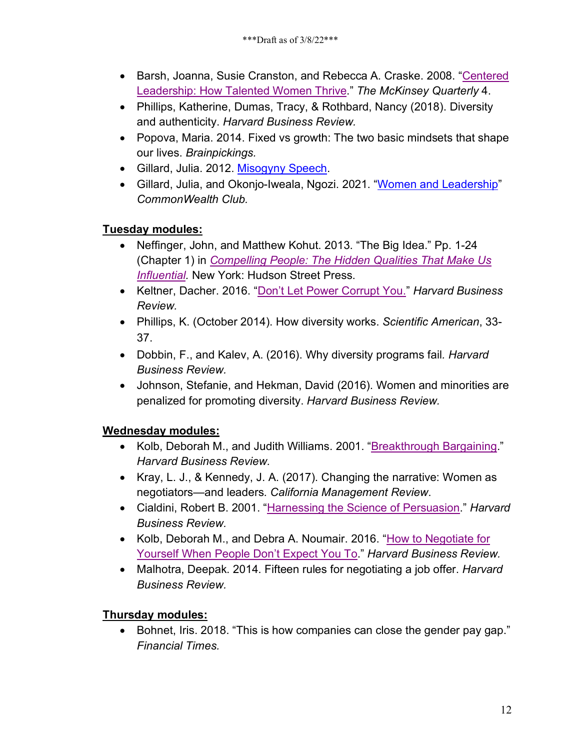- Barsh, Joanna, Susie Cranston, and Rebecca A. Craske. 2008. "Centered Leadership: How Talented Women Thrive." *The McKinsey Quarterly* 4.
- Phillips, Katherine, Dumas, Tracy, & Rothbard, Nancy (2018). Diversity and authenticity. *Harvard Business Review.*
- Popova, Maria. 2014. Fixed vs growth: The two basic mindsets that shape our lives. *Brainpickings.*
- Gillard, Julia. 2012. Misogyny Speech.
- Gillard, Julia, and Okonjo-Iweala, Ngozi. 2021. "Women and Leadership" *CommonWealth Club.*

# **Tuesday modules:**

- Neffinger, John, and Matthew Kohut. 2013. "The Big Idea." Pp. 1-24 (Chapter 1) in *Compelling People: The Hidden Qualities That Make Us Influential.* New York: Hudson Street Press.
- Keltner, Dacher. 2016. "Don't Let Power Corrupt You." *Harvard Business Review.*
- Phillips, K. (October 2014). How diversity works. *Scientific American*, 33- 37.
- Dobbin, F., and Kalev, A. (2016). Why diversity programs fail*. Harvard Business Review.*
- Johnson, Stefanie, and Hekman, David (2016). Women and minorities are penalized for promoting diversity. *Harvard Business Review.*

# **Wednesday modules:**

- Kolb, Deborah M., and Judith Williams. 2001. "Breakthrough Bargaining." *Harvard Business Review.*
- Kray, L. J., & Kennedy, J. A. (2017). Changing the narrative: Women as negotiators—and leaders. *California Management Review*.
- Cialdini, Robert B. 2001. "Harnessing the Science of Persuasion." *Harvard Business Review.*
- Kolb, Deborah M., and Debra A. Noumair. 2016. "How to Negotiate for Yourself When People Don't Expect You To." *Harvard Business Review.*
- Malhotra, Deepak. 2014. Fifteen rules for negotiating a job offer. *Harvard Business Review.*

# **Thursday modules:**

• Bohnet, Iris. 2018. "This is how companies can close the gender pay gap." *Financial Times.*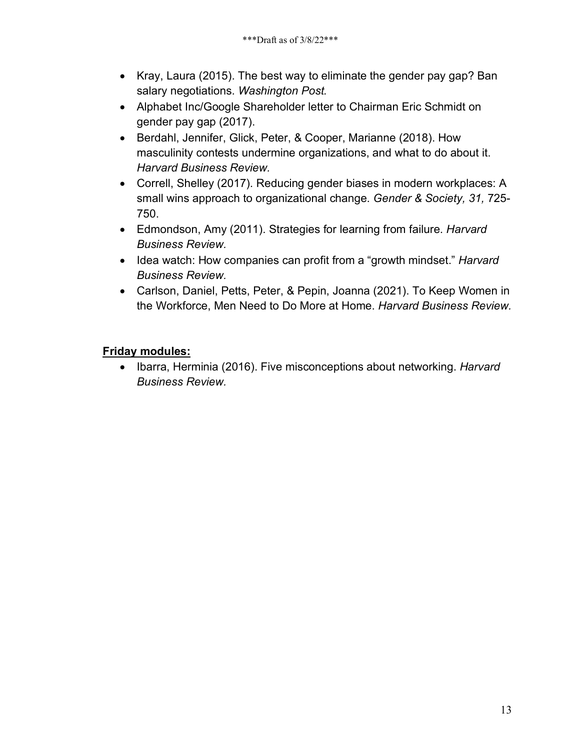- Kray, Laura (2015). The best way to eliminate the gender pay gap? Ban salary negotiations. *Washington Post.*
- Alphabet Inc/Google Shareholder letter to Chairman Eric Schmidt on gender pay gap (2017).
- Berdahl, Jennifer, Glick, Peter, & Cooper, Marianne (2018). How masculinity contests undermine organizations, and what to do about it. *Harvard Business Review.*
- Correll, Shelley (2017). Reducing gender biases in modern workplaces: A small wins approach to organizational change. *Gender & Society, 31,* 725- 750.
- Edmondson, Amy (2011). Strategies for learning from failure. *Harvard Business Review.*
- Idea watch: How companies can profit from a "growth mindset." *Harvard Business Review.*
- Carlson, Daniel, Petts, Peter, & Pepin, Joanna (2021). To Keep Women in the Workforce, Men Need to Do More at Home. *Harvard Business Review.*

### **Friday modules:**

• Ibarra, Herminia (2016). Five misconceptions about networking. *Harvard Business Review.*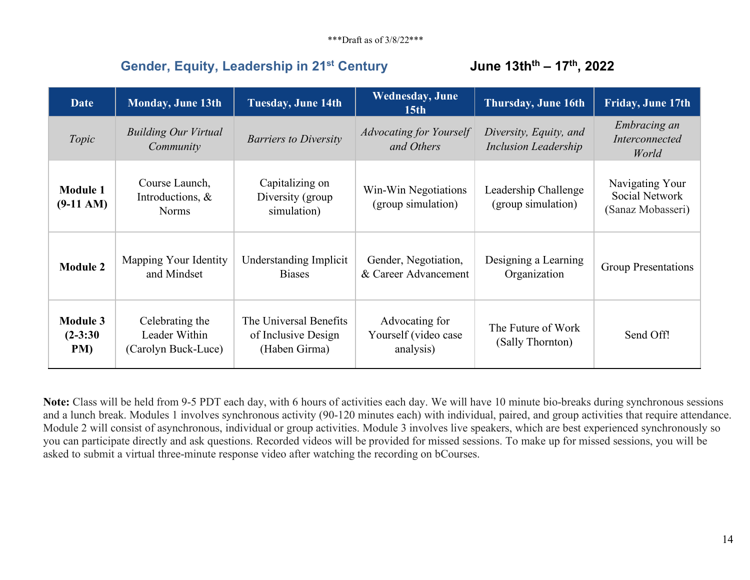# **Gender, Equity, Leadership in 21st Century June 13thth – 17th, 2022**

| <b>Date</b>                         | <b>Monday, June 13th</b>                                | <b>Tuesday, June 14th</b>                                      | <b>Wednesday</b> , June<br>15 <sub>th</sub>         | <b>Thursday, June 16th</b>                            | <b>Friday, June 17th</b>                               |
|-------------------------------------|---------------------------------------------------------|----------------------------------------------------------------|-----------------------------------------------------|-------------------------------------------------------|--------------------------------------------------------|
| Topic                               | <b>Building Our Virtual</b><br>Community                | <b>Barriers to Diversity</b>                                   | <b>Advocating for Yourself</b><br>and Others        | Diversity, Equity, and<br><b>Inclusion Leadership</b> | Embracing an<br>Interconnected<br>World                |
| <b>Module 1</b><br>$(9-11 AM)$      | Course Launch,<br>Introductions, &<br><b>Norms</b>      | Capitalizing on<br>Diversity (group)<br>simulation)            | Win-Win Negotiations<br>(group simulation)          | Leadership Challenge<br>(group simulation)            | Navigating Your<br>Social Network<br>(Sanaz Mobasseri) |
| <b>Module 2</b>                     | Mapping Your Identity<br>and Mindset                    | Understanding Implicit<br><b>Biases</b>                        | Gender, Negotiation,<br>& Career Advancement        | Designing a Learning<br>Organization                  | <b>Group Presentations</b>                             |
| <b>Module 3</b><br>$(2-3:30)$<br>PM | Celebrating the<br>Leader Within<br>(Carolyn Buck-Luce) | The Universal Benefits<br>of Inclusive Design<br>(Haben Girma) | Advocating for<br>Yourself (video case<br>analysis) | The Future of Work<br>(Sally Thornton)                | Send Off!                                              |

**Note:** Class will be held from 9-5 PDT each day, with 6 hours of activities each day. We will have 10 minute bio-breaks during synchronous sessions and a lunch break. Modules 1 involves synchronous activity (90-120 minutes each) with individual, paired, and group activities that require attendance. Module 2 will consist of asynchronous, individual or group activities. Module 3 involves live speakers, which are best experienced synchronously so you can participate directly and ask questions. Recorded videos will be provided for missed sessions. To make up for missed sessions, you will be asked to submit a virtual three-minute response video after watching the recording on bCourses.